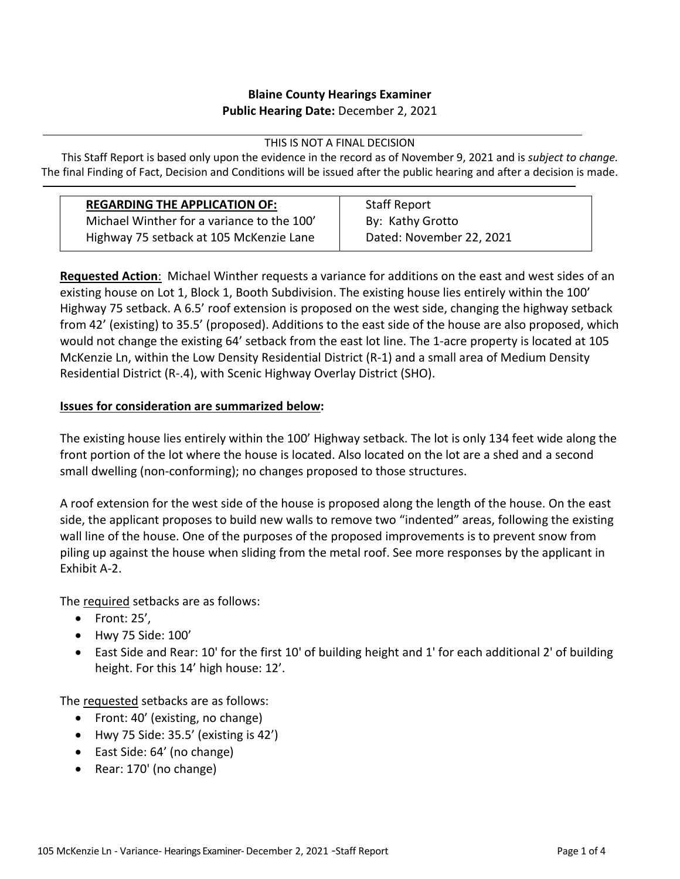## **Blaine County Hearings Examiner Public Hearing Date:** December 2, 2021

THIS IS NOT A FINAL DECISION

This Staff Report is based only upon the evidence in the record as of November 9, 2021 and is *subject to change.* The final Finding of Fact, Decision and Conditions will be issued after the public hearing and after a decision is made.

| <b>REGARDING THE APPLICATION OF:</b>       | <b>Staff Report</b>      |
|--------------------------------------------|--------------------------|
| Michael Winther for a variance to the 100' | By: Kathy Grotto         |
| Highway 75 setback at 105 McKenzie Lane    | Dated: November 22, 2021 |

**Requested Action**: Michael Winther requests a variance for additions on the east and west sides of an existing house on Lot 1, Block 1, Booth Subdivision. The existing house lies entirely within the 100' Highway 75 setback. A 6.5' roof extension is proposed on the west side, changing the highway setback from 42' (existing) to 35.5' (proposed). Additions to the east side of the house are also proposed, which would not change the existing 64' setback from the east lot line. The 1-acre property is located at 105 McKenzie Ln, within the Low Density Residential District (R-1) and a small area of Medium Density Residential District (R-.4), with Scenic Highway Overlay District (SHO).

# **Issues for consideration are summarized below:**

The existing house lies entirely within the 100' Highway setback. The lot is only 134 feet wide along the front portion of the lot where the house is located. Also located on the lot are a shed and a second small dwelling (non-conforming); no changes proposed to those structures.

A roof extension for the west side of the house is proposed along the length of the house. On the east side, the applicant proposes to build new walls to remove two "indented" areas, following the existing wall line of the house. One of the purposes of the proposed improvements is to prevent snow from piling up against the house when sliding from the metal roof. See more responses by the applicant in Exhibit A-2.

The required setbacks are as follows:

- $\bullet$  Front: 25',
- Hwy 75 Side: 100'
- East Side and Rear: 10' for the first 10' of building height and 1' for each additional 2' of building height. For this 14' high house: 12'.

The requested setbacks are as follows:

- Front: 40' (existing, no change)
- $\bullet$  Hwy 75 Side: 35.5' (existing is 42')
- East Side: 64' (no change)
- Rear: 170' (no change)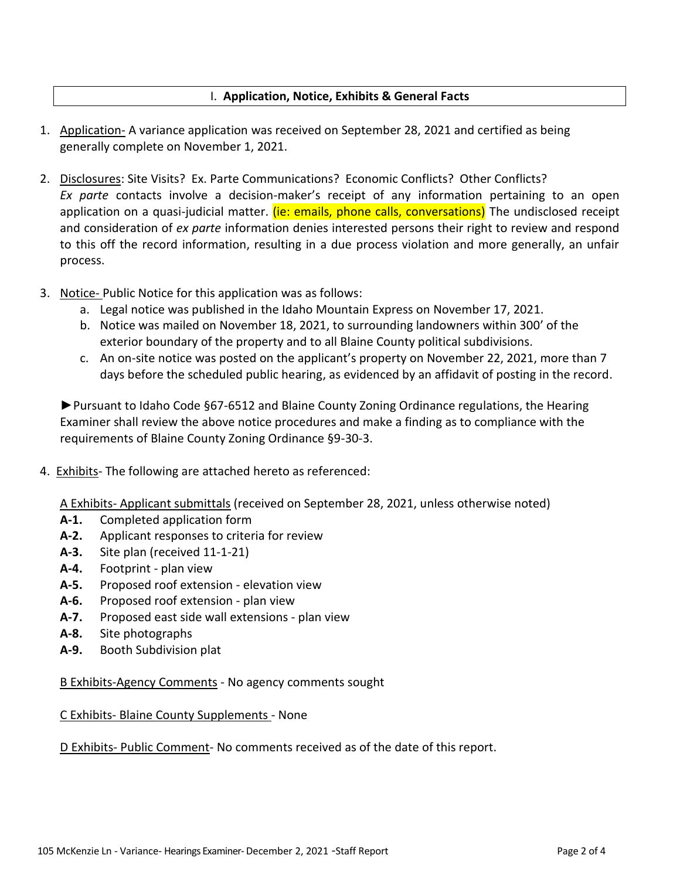### I. **Application, Notice, Exhibits & General Facts**

- 1. Application- A variance application was received on September 28, 2021 and certified as being generally complete on November 1, 2021.
- 2. Disclosures: Site Visits? Ex. Parte Communications? Economic Conflicts? Other Conflicts? *Ex parte* contacts involve a decision-maker's receipt of any information pertaining to an open application on a quasi-judicial matter. (ie: emails, phone calls, conversations) The undisclosed receipt and consideration of *ex parte* information denies interested persons their right to review and respond to this off the record information, resulting in a due process violation and more generally, an unfair process.
- 3. Notice- Public Notice for this application was as follows:
	- a. Legal notice was published in the Idaho Mountain Express on November 17, 2021.
	- b. Notice was mailed on November 18, 2021, to surrounding landowners within 300' of the exterior boundary of the property and to all Blaine County political subdivisions.
	- c. An on-site notice was posted on the applicant's property on November 22, 2021, more than 7 days before the scheduled public hearing, as evidenced by an affidavit of posting in the record.

►Pursuant to Idaho Code §67-6512 and Blaine County Zoning Ordinance regulations, the Hearing Examiner shall review the above notice procedures and make a finding as to compliance with the requirements of Blaine County Zoning Ordinance §9-30-3.

4. Exhibits- The following are attached hereto as referenced:

A Exhibits- Applicant submittals (received on September 28, 2021, unless otherwise noted)

- **A-1.** Completed application form
- **A-2.** Applicant responses to criteria for review
- **A-3.** Site plan (received 11-1-21)
- **A-4.** Footprint plan view
- **A-5.** Proposed roof extension elevation view
- **A-6.** Proposed roof extension plan view
- **A-7.** Proposed east side wall extensions plan view
- **A-8.** Site photographs
- **A-9.** Booth Subdivision plat

B Exhibits-Agency Comments - No agency comments sought

#### C Exhibits- Blaine County Supplements - None

D Exhibits- Public Comment- No comments received as of the date of this report.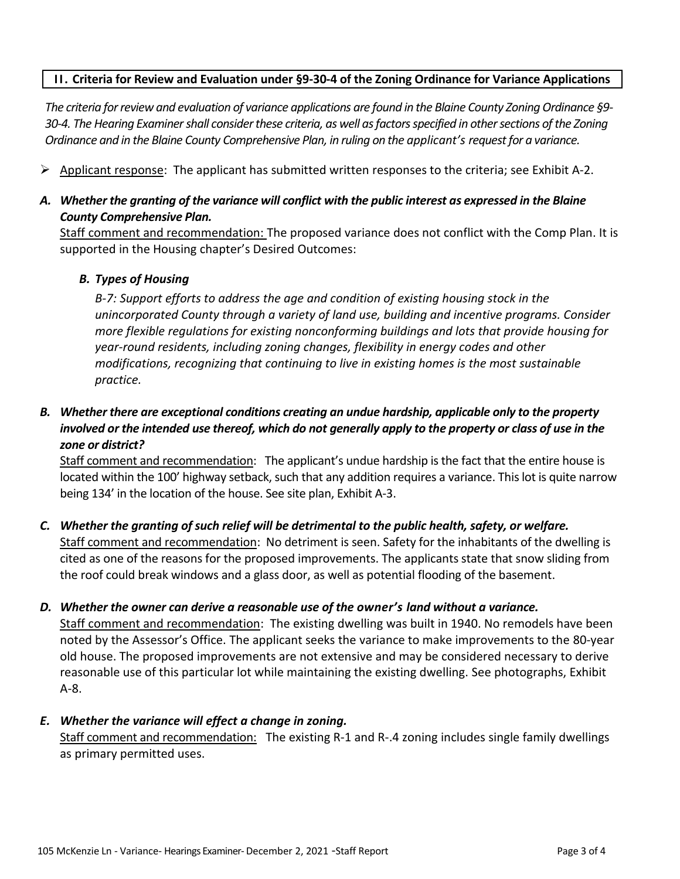### **II. Criteria for Review and Evaluation under §9-30-4 of the Zoning Ordinance for Variance Applications**

*The criteria for review and evaluation of variance applications are found in the Blaine County Zoning Ordinance §9- 30-4. The Hearing Examiner shall consider these criteria, as well as factors specified in other sections of the Zoning Ordinance and in the Blaine County Comprehensive Plan, in ruling on the applicant's request for a variance.*

 $\triangleright$  Applicant response: The applicant has submitted written responses to the criteria; see Exhibit A-2.

# *A. Whether the granting of the variance will conflict with the public interest as expressed in the Blaine County Comprehensive Plan.*

Staff comment and recommendation: The proposed variance does not conflict with the Comp Plan. It is supported in the Housing chapter's Desired Outcomes:

#### *B. Types of Housing*

*B-7: Support efforts to address the age and condition of existing housing stock in the unincorporated County through a variety of land use, building and incentive programs. Consider more flexible regulations for existing nonconforming buildings and lots that provide housing for year-round residents, including zoning changes, flexibility in energy codes and other modifications, recognizing that continuing to live in existing homes is the most sustainable practice.*

# *B. Whether there are exceptional conditions creating an undue hardship, applicable only to the property involved or the intended use thereof, which do not generally apply to the property or class of use in the zone or district?*

Staff comment and recommendation: The applicant's undue hardship is the fact that the entire house is located within the 100' highway setback, such that any addition requires a variance. This lot is quite narrow being 134' in the location of the house. See site plan, Exhibit A-3.

# *C. Whether the granting of such relief will be detrimental to the public health, safety, or welfare.* Staff comment and recommendation: No detriment is seen. Safety for the inhabitants of the dwelling is cited as one of the reasons for the proposed improvements. The applicants state that snow sliding from the roof could break windows and a glass door, as well as potential flooding of the basement.

#### *D. Whether the owner can derive a reasonable use of the owner's land without a variance.*

Staff comment and recommendation: The existing dwelling was built in 1940. No remodels have been noted by the Assessor's Office. The applicant seeks the variance to make improvements to the 80-year old house. The proposed improvements are not extensive and may be considered necessary to derive reasonable use of this particular lot while maintaining the existing dwelling. See photographs, Exhibit A-8.

#### *E. Whether the variance will effect a change in zoning.*

Staff comment and recommendation: The existing R-1 and R-.4 zoning includes single family dwellings as primary permitted uses.